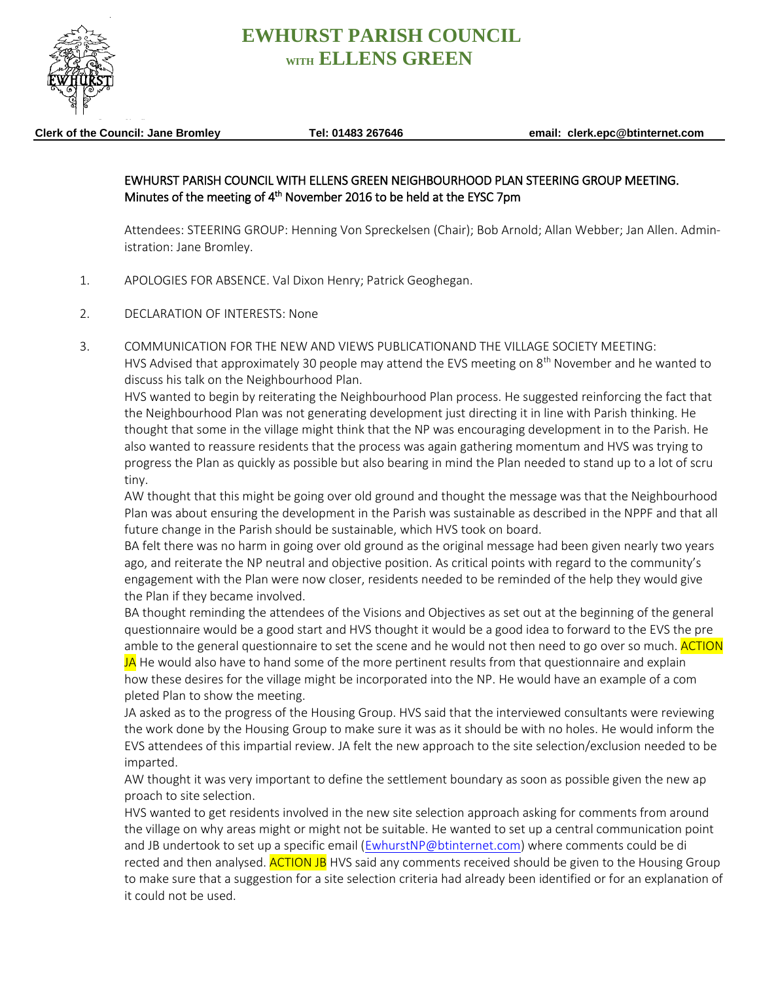

## **EWHURST PARISH COUNCIL WITH ELLENS GREEN**

## **Clerk of the Council: Jane Bromley Tel: 01483 267646 email: clerk.epc@btinternet.com**

## EWHURST PARISH COUNCIL WITH ELLENS GREEN NEIGHBOURHOOD PLAN STEERING GROUP MEETING. Minutes of the meeting of 4<sup>th</sup> November 2016 to be held at the EYSC 7pm

Attendees: STEERING GROUP: Henning Von Spreckelsen (Chair); Bob Arnold; Allan Webber; Jan Allen. Administration: Jane Bromley.

- 1. APOLOGIES FOR ABSENCE. Val Dixon Henry; Patrick Geoghegan.
- 2. DECLARATION OF INTERESTS: None
- 3. COMMUNICATION FOR THE NEW AND VIEWS PUBLICATIONAND THE VILLAGE SOCIETY MEETING: HVS Advised that approximately 30 people may attend the EVS meeting on 8<sup>th</sup> November and he wanted to discuss his talk on the Neighbourhood Plan.

HVS wanted to begin by reiterating the Neighbourhood Plan process. He suggested reinforcing the fact that the Neighbourhood Plan was not generating development just directing it in line with Parish thinking. He thought that some in the village might think that the NP was encouraging development in to the Parish. He also wanted to reassure residents that the process was again gathering momentum and HVS was trying to progress the Plan as quickly as possible but also bearing in mind the Plan needed to stand up to a lot of scru tiny.

AW thought that this might be going over old ground and thought the message was that the Neighbourhood Plan was about ensuring the development in the Parish was sustainable as described in the NPPF and that all future change in the Parish should be sustainable, which HVS took on board.

BA felt there was no harm in going over old ground as the original message had been given nearly two years ago, and reiterate the NP neutral and objective position. As critical points with regard to the community's engagement with the Plan were now closer, residents needed to be reminded of the help they would give the Plan if they became involved.

BA thought reminding the attendees of the Visions and Objectives as set out at the beginning of the general questionnaire would be a good start and HVS thought it would be a good idea to forward to the EVS the pre amble to the general questionnaire to set the scene and he would not then need to go over so much. **ACTION** JA He would also have to hand some of the more pertinent results from that questionnaire and explain how these desires for the village might be incorporated into the NP. He would have an example of a com pleted Plan to show the meeting.

JA asked as to the progress of the Housing Group. HVS said that the interviewed consultants were reviewing the work done by the Housing Group to make sure it was as it should be with no holes. He would inform the EVS attendees of this impartial review. JA felt the new approach to the site selection/exclusion needed to be imparted.

AW thought it was very important to define the settlement boundary as soon as possible given the new ap proach to site selection.

HVS wanted to get residents involved in the new site selection approach asking for comments from around the village on why areas might or might not be suitable. He wanted to set up a central communication point and JB undertook to set up a specific email [\(EwhurstNP@btinternet.com\)](mailto:EwhurstNP@btinternet.com) where comments could be di rected and then analysed. **ACTION JB** HVS said any comments received should be given to the Housing Group to make sure that a suggestion for a site selection criteria had already been identified or for an explanation of it could not be used.